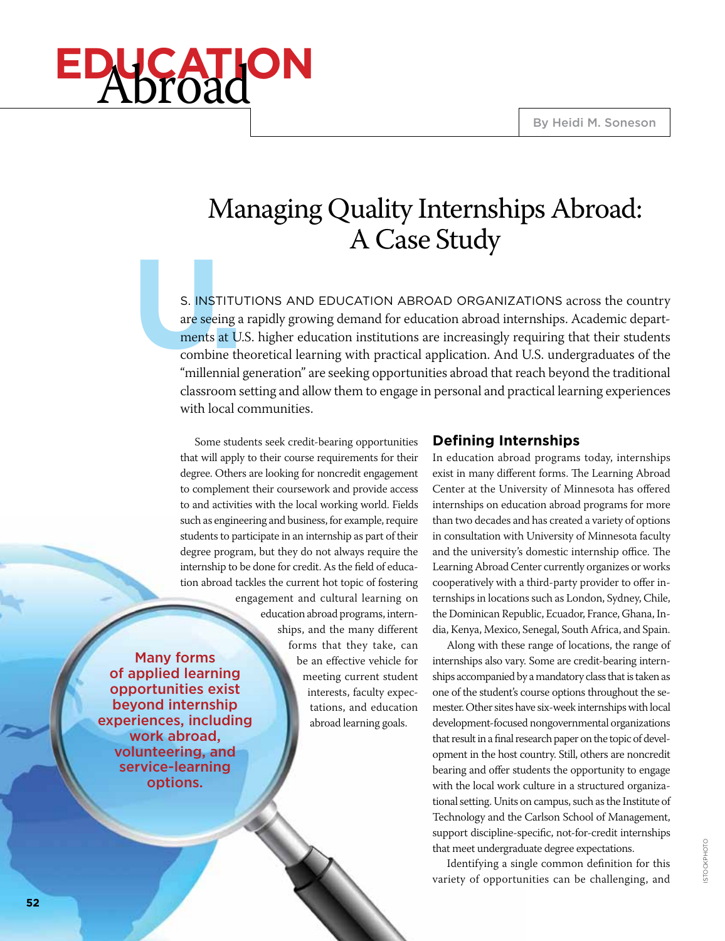# **education** Abroad

# Managing Quality Internships Abroad: A Case Study

S. **INSTITU**<br>
are seeing a<br>
ments at U.<br>
combine th<br>
"millennial S. INSTITUTIONS AND EDUCATION ABROAD ORGANIZATIONS across the country are seeing a rapidly growing demand for education abroad internships. Academic departments at U.S. higher education institutions are increasingly requiring that their students combine theoretical learning with practical application. And U.S. undergraduates of the "millennial generation" are seeking opportunities abroad that reach beyond the traditional classroom setting and allow them to engage in personal and practical learning experiences with local communities.

Some students seek credit-bearing opportunities that will apply to their course requirements for their degree. Others are looking for noncredit engagement to complement their coursework and provide access to and activities with the local working world. Fields such as engineering and business, for example, require students to participate in an internship as part of their degree program, but they do not always require the internship to be done for credit. As the field of education abroad tackles the current hot topic of fostering engagement and cultural learning on education abroad programs, internships, and the many different forms that they take, can be an effective vehicle for meeting current student interests, faculty expectations, and education abroad learning goals.

# **Defining Internships**

In education abroad programs today, internships exist in many different forms. The Learning Abroad Center at the University of Minnesota has offered internships on education abroad programs for more than two decades and has created a variety of options in consultation with University of Minnesota faculty and the university's domestic internship office. The Learning Abroad Center currently organizes or works cooperatively with a third-party provider to offer internships in locations such as London, Sydney, Chile, the Dominican Republic, Ecuador, France, Ghana, India, Kenya, Mexico, Senegal, South Africa, and Spain.

Along with these range of locations, the range of internships also vary. Some are credit-bearing internships accompanied by a mandatory class that is taken as one of the student's course options throughout the semester. Other sites have six-week internships with local development-focused nongovernmental organizations that result in a final research paper on the topic of development in the host country. Still, others are noncredit bearing and offer students the opportunity to engage with the local work culture in a structured organizational setting. Units on campus, such as the Institute of Technology and the Carlson School of Management, support discipline-specific, not-for-credit internships that meet undergraduate degree expectations.

Identifying a single common definition for this variety of opportunities can be challenging, and

Many forms of applied learning opportunities exist beyond internship experiences, including work abroad, volunteering, and service-learning options.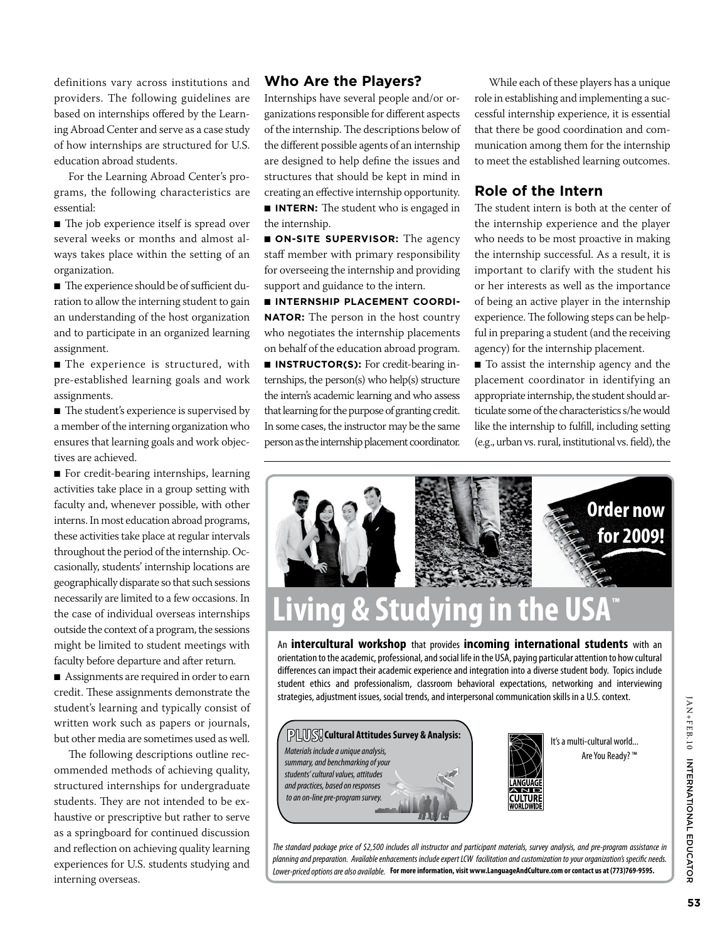definitions vary across institutions and providers. The following guidelines are based on internships offered by the Learning Abroad Center and serve as a case study of how internships are structured for U.S. education abroad students.

For the Learning Abroad Center's programs, the following characteristics are essential:

■ The job experience itself is spread over several weeks or months and almost always takes place within the setting of an organization.

■ The experience should be of sufficient duration to allow the interning student to gain an understanding of the host organization and to participate in an organized learning assignment.

■ The experience is structured, with pre-established learning goals and work assignments.

■ The student's experience is supervised by a member of the interning organization who ensures that learning goals and work objectives are achieved.

■ For credit-bearing internships, learning activities take place in a group setting with faculty and, whenever possible, with other interns. In most education abroad programs, these activities take place at regular intervals throughout the period of the internship. Occasionally, students' internship locations are geographically disparate so that such sessions necessarily are limited to a few occasions. In the case of individual overseas internships outside the context of a program, the sessions might be limited to student meetings with faculty before departure and after return.

■ Assignments are required in order to earn credit. These assignments demonstrate the student's learning and typically consist of written work such as papers or journals, but other media are sometimes used as well.

The following descriptions outline recommended methods of achieving quality, structured internships for undergraduate students. They are not intended to be exhaustive or prescriptive but rather to serve as a springboard for continued discussion and reflection on achieving quality learning experiences for U.S. students studying and interning overseas.

#### **Who Are the Players?**

Internships have several people and/or organizations responsible for different aspects of the internship. The descriptions below of the different possible agents of an internship are designed to help define the issues and structures that should be kept in mind in creating an effective internship opportunity.

■ **INTERN:** The student who is engaged in the internship.

■ **ON-SITE SUPERVISOR:** The agency staff member with primary responsibility for overseeing the internship and providing support and guidance to the intern.

■ **Internship Placement Coordi-NATOR:** The person in the host country who negotiates the internship placements on behalf of the education abroad program. ■ **INSTRUCTOR(S):** For credit-bearing in-

ternships, the person(s) who help(s) structure the intern's academic learning and who assess that learning for the purpose of granting credit. In some cases, the instructor may be the same person as the internship placement coordinator.

While each of these players has a unique role in establishing and implementing a successful internship experience, it is essential that there be good coordination and communication among them for the internship to meet the established learning outcomes.

#### **Role of the Intern**

The student intern is both at the center of the internship experience and the player who needs to be most proactive in making the internship successful. As a result, it is important to clarify with the student his or her interests as well as the importance of being an active player in the internship experience. The following steps can be helpful in preparing a student (and the receiving agency) for the internship placement.

■ To assist the internship agency and the placement coordinator in identifying an appropriate internship, the student should articulate some of the characteristics s/he would like the internship to fulfill, including setting (e.g., urban vs. rural, institutional vs. field), the



# **Living & Studying in the USA ™**

An **intercultural workshop** that provides **incoming international students** with an orientation to the academic, professional, and social life in the USA, paying particular attention to how cultural differences can impact their academic experience and integration into a diverse student body. Topics include student ethics and professionalism, classroom behavioral expectations, networking and interviewing strategies, adjustment issues, social trends, and interpersonal communication skills in a U.S. context.





It's a multi-cultural world... Are You Ready? ™

**IAN+FEB.10 INTERNATIONAL EDUCATOR 53<br>5** INFERICATION INTERNATION OF THE BIG

Lower-priced options are also available. For more information, visit www.LanguageAndCulture.com or contact us at (773)769-9595. *The standard package price of \$2,500 includes all instructor and participant materials, survey analysis, and pre-program assistance in*  planning and preparation. Available enhacements include expert LCW facilitation and customization to your organization's specific needs.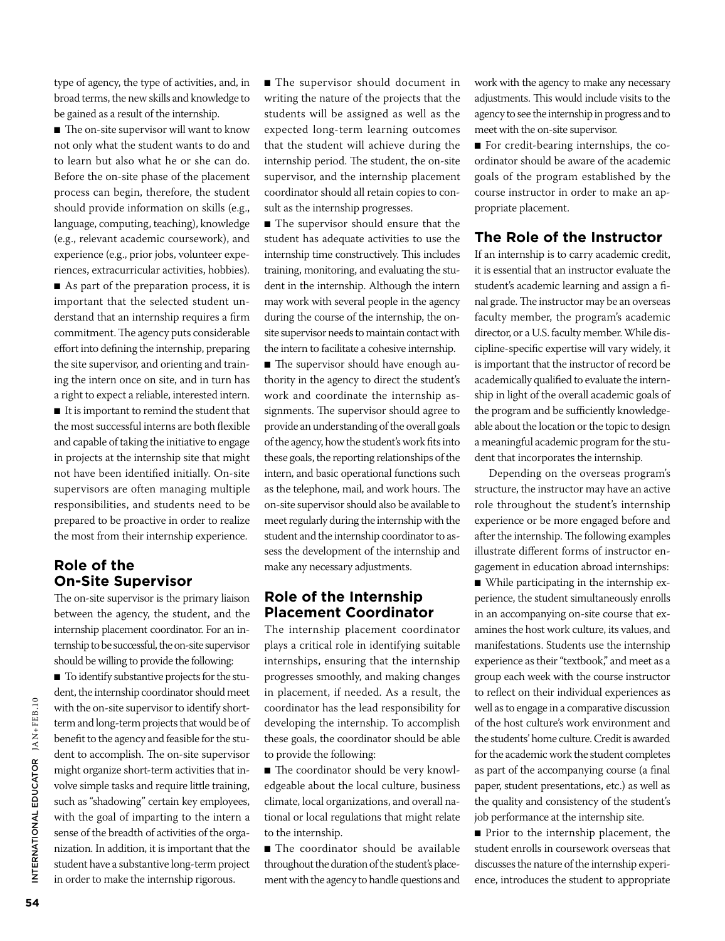type of agency, the type of activities, and, in broad terms, the new skills and knowledge to be gained as a result of the internship.

■ The on-site supervisor will want to know not only what the student wants to do and to learn but also what he or she can do. Before the on-site phase of the placement process can begin, therefore, the student should provide information on skills (e.g., language, computing, teaching), knowledge (e.g., relevant academic coursework), and experience (e.g., prior jobs, volunteer experiences, extracurricular activities, hobbies). ■ As part of the preparation process, it is important that the selected student understand that an internship requires a firm commitment. The agency puts considerable effort into defining the internship, preparing the site supervisor, and orienting and training the intern once on site, and in turn has a right to expect a reliable, interested intern. ■ It is important to remind the student that the most successful interns are both flexible and capable of taking the initiative to engage in projects at the internship site that might not have been identified initially. On-site supervisors are often managing multiple responsibilities, and students need to be prepared to be proactive in order to realize

# **Role of the On-Site Supervisor**

The on-site supervisor is the primary liaison between the agency, the student, and the internship placement coordinator. For an internship to be successful, the on-site supervisor should be willing to provide the following:

the most from their internship experience.

■ To identify substantive projects for the student, the internship coordinator should meet with the on-site supervisor to identify shortterm and long-term projects that would be of benefit to the agency and feasible for the student to accomplish. The on-site supervisor might organize short-term activities that involve simple tasks and require little training, such as "shadowing" certain key employees, with the goal of imparting to the intern a sense of the breadth of activities of the organization. In addition, it is important that the student have a substantive long-term project in order to make the internship rigorous.

■ The supervisor should document in writing the nature of the projects that the students will be assigned as well as the expected long-term learning outcomes that the student will achieve during the internship period. The student, the on-site supervisor, and the internship placement coordinator should all retain copies to consult as the internship progresses.

■ The supervisor should ensure that the student has adequate activities to use the internship time constructively. This includes training, monitoring, and evaluating the student in the internship. Although the intern may work with several people in the agency during the course of the internship, the onsite supervisor needs to maintain contact with the intern to facilitate a cohesive internship.

■ The supervisor should have enough authority in the agency to direct the student's work and coordinate the internship assignments. The supervisor should agree to provide an understanding of the overall goals of the agency, how the student's work fits into these goals, the reporting relationships of the intern, and basic operational functions such as the telephone, mail, and work hours. The on-site supervisor should also be available to meet regularly during the internship with the student and the internship coordinator to assess the development of the internship and make any necessary adjustments.

#### **Role of the Internship Placement Coordinator**

The internship placement coordinator plays a critical role in identifying suitable internships, ensuring that the internship progresses smoothly, and making changes in placement, if needed. As a result, the coordinator has the lead responsibility for developing the internship. To accomplish these goals, the coordinator should be able to provide the following:

■ The coordinator should be very knowledgeable about the local culture, business climate, local organizations, and overall national or local regulations that might relate to the internship.

■ The coordinator should be available throughout the duration of the student's placement with the agency to handle questions and work with the agency to make any necessary adjustments. This would include visits to the agency to see the internship in progress and to meet with the on-site supervisor.

■ For credit-bearing internships, the coordinator should be aware of the academic goals of the program established by the course instructor in order to make an appropriate placement.

# **The Role of the Instructor**

If an internship is to carry academic credit, it is essential that an instructor evaluate the student's academic learning and assign a final grade. The instructor may be an overseas faculty member, the program's academic director, or a U.S. faculty member. While discipline-specific expertise will vary widely, it is important that the instructor of record be academically qualified to evaluate the internship in light of the overall academic goals of the program and be sufficiently knowledgeable about the location or the topic to design a meaningful academic program for the student that incorporates the internship.

Depending on the overseas program's structure, the instructor may have an active role throughout the student's internship experience or be more engaged before and after the internship. The following examples illustrate different forms of instructor engagement in education abroad internships:

■ While participating in the internship experience, the student simultaneously enrolls in an accompanying on-site course that examines the host work culture, its values, and manifestations. Students use the internship experience as their "textbook," and meet as a group each week with the course instructor to reflect on their individual experiences as well as to engage in a comparative discussion of the host culture's work environment and the students' home culture. Credit is awarded for the academic work the student completes as part of the accompanying course (a final paper, student presentations, etc.) as well as the quality and consistency of the student's job performance at the internship site.

■ Prior to the internship placement, the student enrolls in coursework overseas that discusses the nature of the internship experience, introduces the student to appropriate